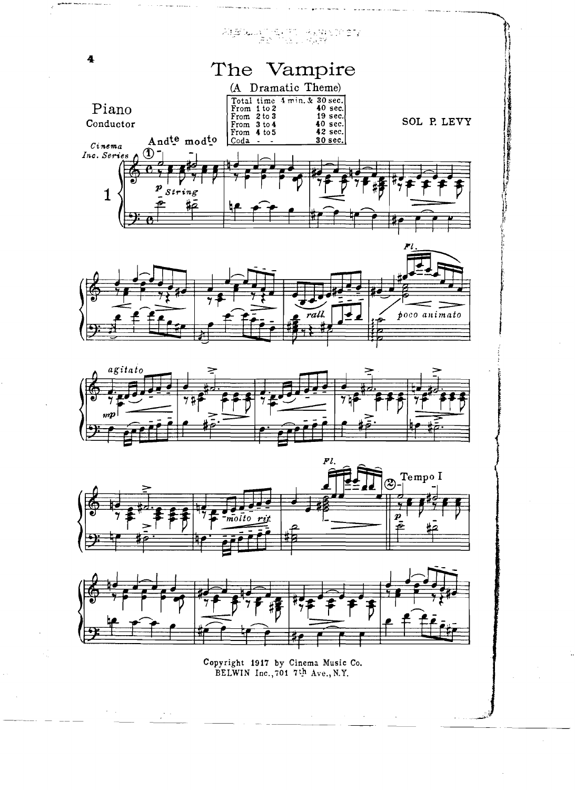









Copyright 1917 by Cinema Music Co. BELWIN Inc., 701 7th Ave., N.Y.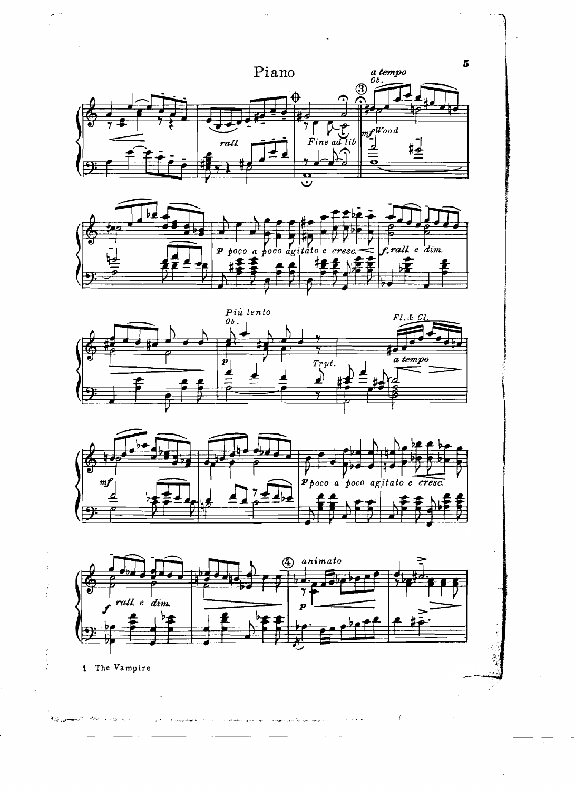